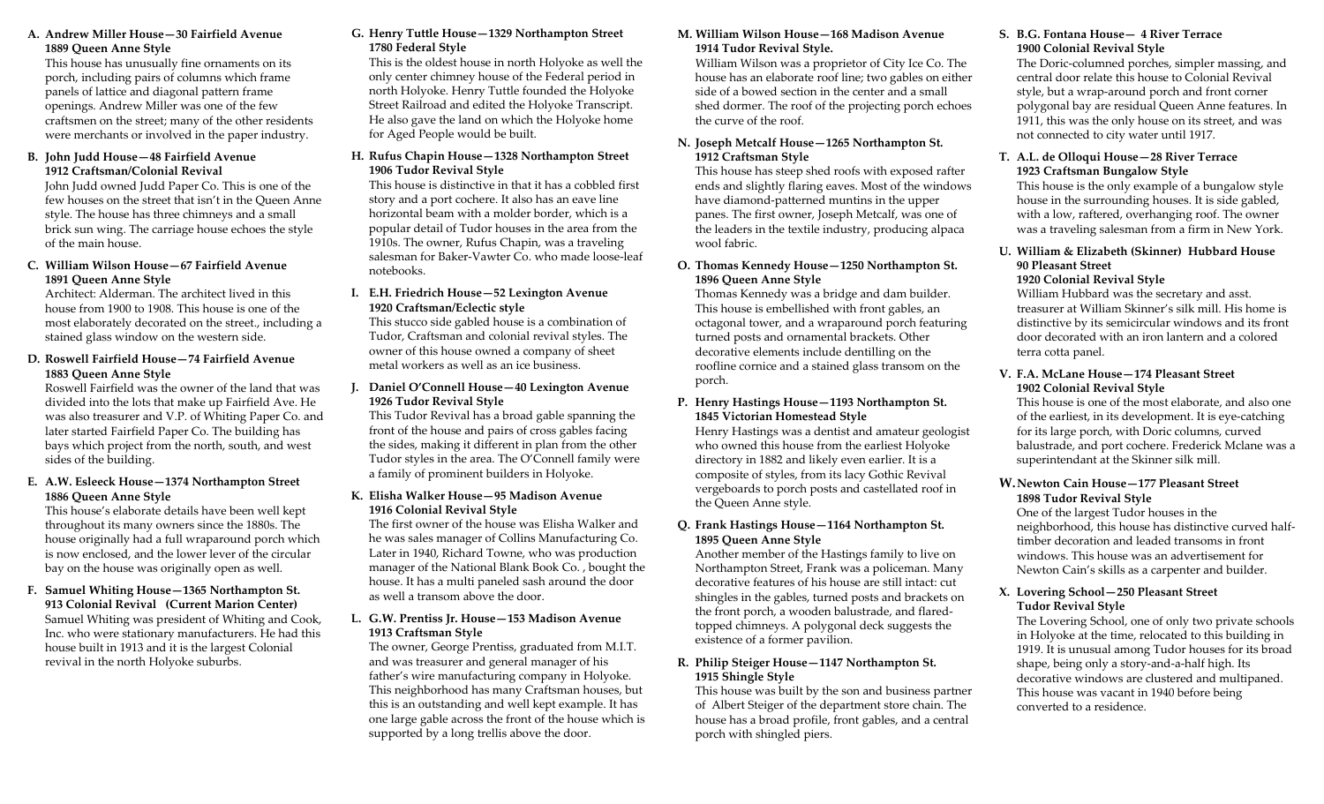# **A. Andrew Miller House—30 Fairfield Avenue 1889 Queen Anne Style**

This house has unusually fine ornaments on its porch, including pairs of columns which frame panels of lattice and diagonal pattern frame openings. Andrew Miller was one of the few craftsmen on the street; many of the other residents were merchants or involve d in the paper industry.

#### **B. John Judd House—48 Fairfield Avenue 1912 Craftsman/Colonial Revival**

John Judd owned Judd Paper Co. This is one of the few houses on the street that isn't in the Queen Anne style. The house has three chimneys and <sup>a</sup> small brick sun wing. The carriage house echoes the style of the main house.

#### **C. William Wilson House—67 Fairfield Avenue 1891 Queen Anne Style**

Architect: Alderman. The architect lived in this house from 1900 to 1908. This house is one of the most elaborately decorated on the street., including <sup>a</sup> stained glass window on the western side.

# **D. Roswell Fairfield House—74 Fairfield Avenue 1883 Queen Anne Style**

Roswell Fairfield was the owner of the land that was divided into the lots that make up Fairfield Ave. He was also treasurer and V.P. of Whiting Paper Co. and later started Fairfield Paper Co. The building has bays which project from the north, south, and west sides of the building.

#### **E. A.W. Esleeck House—1374 Northampton Street 1886 Queen Anne Style**

This house's elaborate details have been well kept throughout its many owners since the 1880s. The house originally had <sup>a</sup> full wraparound porch which is now enclosed, and the lower lever of the circular bay on the house was originally open as well.

#### **F. Samuel Whiting House—1365 Northampton St. 913 Colonial Revival (Current Marion Center)** Samuel Whiting was president of Whiting and Cook, Inc. who were stationary manufacturers. He had this house built in 1913 and it is the largest Colonial revival in the north Holyoke suburbs.

# **G. Henry Tuttle House—1329 Northampton Street 1780 Federal Style**

This is the oldest house in north Holyoke as well the only center chimney house of the Federal period in north Holyoke. Henry Tuttle founded the Holyoke Street Railroad and edited the Holyoke Transcript. He also gave the land on which the Holyoke home for Aged People would be built.

#### **H. Rufus Chapin House—1328 Northampton Street 1906 Tudor Revival Style**

This house is distinctive in that it has <sup>a</sup> cobbled first story and <sup>a</sup> por<sup>t</sup> cochere. It also has an eave line horizontal beam with <sup>a</sup> molder border, which is <sup>a</sup> popular detail of Tudor houses in the area from the 1910s. The owner, Rufus Chapin, was <sup>a</sup> traveling salesman for Baker‐Vawter Co. who made loose‐leaf notebooks.

#### **I. E.H. Friedrich House—52 Lexington Avenue 1920 Craftsman/Eclectic style**

This stucco side gabled house is <sup>a</sup> combination of Tudor, Craftsman and colonial revival styles. The owner of this house owned <sup>a</sup> company of sheet metal workers as well as an ice business.

# **J. Daniel O'Connell House—40 Lexington Avenue 1926 Tudor Revival Style**

This Tudor Revival has <sup>a</sup> broad gable spanning the front of the house and pairs of cross gables facing the sides, making it different in plan from the other Tudor styles in the area. The O'Connell family were a family of prominent builders in Holyoke.

# **K. Elisha Walker House—95 Madison Avenue 1916 Colonial Revival Style**

The first owner of the house was Elisha Walker andhe was sales manager of Collins Manufacturing Co. Later in 1940, Richard Towne, who was production manager of the National Blank Book Co. , bought the house. It has a multi paneled sash around the door as well <sup>a</sup> transom above the door.

#### **L. G.W. Prentiss Jr. House—153 Madison Avenue 1913 Craftsman Style**

The owner, George Prentiss, graduated from M.I.T. and was treasurer and general manager of his father's wire manufacturing company in Holyoke. This neighborhood has many Craftsman houses, but this is an outstanding and well kept example. It has one large gable across the front of the house which is supported by <sup>a</sup> long trellis above the door.

# **M. William Wilson House—168 Madison Avenue 1914 Tudor Revival Style.**

William Wilson was <sup>a</sup> proprietor of City Ice Co. The house has an elaborate roof line; two gables on either side of <sup>a</sup> bowed section in the center and <sup>a</sup> small shed dormer. The roof of the projecting porch echoes the curve of the roof.

#### **N. Joseph Metcalf House—1265 Northampton St. 1912 Craftsman Style**

This house has steep shed roofs with exposed rafter ends and slightly flaring eaves. Most of the windows have diamond‐patterned muntins in the upper panes. The first owner, Joseph Metcalf, was one of the leaders in the textile industry, producing alpaca wool fabric.

### **O. Thomas Kennedy House—1250 Northampton St. 1896 Queen Anne Style**

Thomas Kennedy was <sup>a</sup> bridge and dam builder. This house is embellished with front gables, an octagonal tower, and <sup>a</sup> wraparound porch featuring turned posts and ornamental brackets. Other decorative elements include dentilling on the roofline cornice and <sup>a</sup> stained glass transom on the porch.

### **P. Henry Hastings House—1193 Northampton St. 1845 Victorian Homestead Style**

Henry Hastings was <sup>a</sup> dentist and amateur geologist who owned this house from the earliest Holyoke directory in 1882 and likely even earlier. It is <sup>a</sup> composite of styles, from its lacy Gothic Revival vergeboards to porch posts and castellated roof in the Queen Anne style.

# **Q. Frank Hastings House—1164 Northampton St. 1895 Queen Anne Style**

Another member of the Hastings family to live on Northampton Street, Frank was <sup>a</sup> policeman. Many decorative features of his house are still intact: cut shingles in the gables, turned posts and brackets on the front porch, <sup>a</sup> wooden balustrade, and flared‐ topped chimneys. A polygonal deck suggests the existence of <sup>a</sup> former pavilion.

# **R. Philip Steiger House—1147 Northampton St. 1915 Shingle Style**

This house was built by the son and business partner of Albert Steiger of the department store chain. The house has <sup>a</sup> broad profile, front gables, and <sup>a</sup> central porch with shingled piers.

# **S. B.G. Fontana House— 4 River Terrace 1900 Colonial Revival Style**

The Doric‐columned porches, simpler massing, and central door relate this house to Colonial Revival style, but <sup>a</sup> wrap‐around porch and front corner polygonal bay are residual Queen Anne features. In 1911, this was the only house on its street, and was not connected to city water until 1917.

# **T. A.L. de Olloqui House—28 River Terrace 1923 Craftsman Bungalow Style**

This house is the only example of <sup>a</sup> bungalow style house in the surrounding houses. It is side gabled, with <sup>a</sup> low, raftered, overhanging roof. The owner was a traveling salesman from <sup>a</sup> firm in New York.

# **U. William& Elizabeth (Skinner) Hubbard House 90 Pleasant Street**

**1920 Colonial Revival Style** William Hubbard was the secretary and asst. treasurer at William Skinner's silk mill. His home is distinctive by its semicircular windows and its front door decorated with an iron lantern and <sup>a</sup> colored terra cotta panel.

# **V. F.A. McLane House—174 Pleasant Street 1902 Colonial Revival Style**

This house is one of the most elaborate, and also one of the earliest, in its development. It is eye‐catching for its large porch, with Doric columns, curved balustrade, and por<sup>t</sup> cochere. Frederick Mclane was <sup>a</sup> superintendant at the Skinner silk mill.

#### **W.Newton Cain House—177 Pleasant Street 1898 Tudor Revival Style**

One of the largest Tudor houses in the neighborhood, this house has distinctive curved half‐ timber decoration and leaded transoms in front windows. This house was an advertisement for Newton Cain's skills as <sup>a</sup> carpenter and builder.

# **X. Lovering School—250 Pleasant Street Tudor Revival Style**

The Lovering School, one of only two private schools in Holyoke at the time, relocated to this building in 1919. It is unusual among Tudor houses for its broad shape, being only <sup>a</sup> story‐and‐a‐half high. Its decorative windows are clustered and multipaned. This house was vacant in 1940 before being converted to <sup>a</sup> residence.